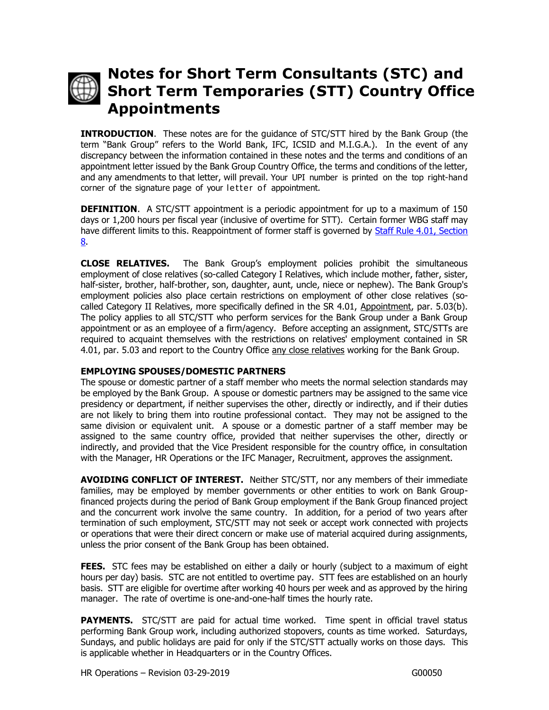

## **Notes for Short Term Consultants (STC) and Short Term Temporaries (STT) Country Office Appointments**

**INTRODUCTION**. These notes are for the guidance of STC/STT hired by the Bank Group (the term "Bank Group" refers to the World Bank, IFC, ICSID and M.I.G.A.). In the event of any discrepancy between the information contained in these notes and the terms and conditions of an appointment letter issued by the Bank Group Country Office, the terms and conditions of the letter, and any amendments to that letter, will prevail. Your UPI number is printed on the top right-hand corner of the signature page of your letter of appointment.

**DEFINITION.** A STC/STT appointment is a periodic appointment for up to a maximum of 150 days or 1,200 hours per fiscal year (inclusive of overtime for STT). Certain former WBG staff may have different limits to this. Reappointment of former staff is governed by Staff Rule 4.01, Section [8.](https://policies.worldbank.org/sites/ppf3/PPFDocuments/Forms/DispPage.aspx?docid=3844&ver=current)

**CLOSE RELATIVES.** The Bank Group's employment policies prohibit the simultaneous employment of close relatives (so-called Category I Relatives, which include mother, father, sister, half-sister, brother, half-brother, son, daughter, aunt, uncle, niece or nephew). The Bank Group's employment policies also place certain restrictions on employment of other close relatives (socalled Category II Relatives, more specifically defined in the SR 4.01, Appointment, par. 5.03(b). The policy applies to all STC/STT who perform services for the Bank Group under a Bank Group appointment or as an employee of a firm/agency. Before accepting an assignment, STC/STTs are required to acquaint themselves with the restrictions on relatives' employment contained in SR 4.01, par. 5.03 and report to the Country Office any close relatives working for the Bank Group.

## **EMPLOYING SPOUSES/DOMESTIC PARTNERS**

The spouse or domestic partner of a staff member who meets the normal selection standards may be employed by the Bank Group. A spouse or domestic partners may be assigned to the same vice presidency or department, if neither supervises the other, directly or indirectly, and if their duties are not likely to bring them into routine professional contact. They may not be assigned to the same division or equivalent unit. A spouse or a domestic partner of a staff member may be assigned to the same country office, provided that neither supervises the other, directly or indirectly, and provided that the Vice President responsible for the country office, in consultation with the Manager, HR Operations or the IFC Manager, Recruitment, approves the assignment.

**AVOIDING CONFLICT OF INTEREST.** Neither STC/STT, nor any members of their immediate families, may be employed by member governments or other entities to work on Bank Groupfinanced projects during the period of Bank Group employment if the Bank Group financed project and the concurrent work involve the same country. In addition, for a period of two years after termination of such employment, STC/STT may not seek or accept work connected with projects or operations that were their direct concern or make use of material acquired during assignments, unless the prior consent of the Bank Group has been obtained.

**FEES.** STC fees may be established on either a daily or hourly (subject to a maximum of eight hours per day) basis. STC are not entitled to overtime pay. STT fees are established on an hourly basis. STT are eligible for overtime after working 40 hours per week and as approved by the hiring manager. The rate of overtime is one-and-one-half times the hourly rate.

PAYMENTS. STC/STT are paid for actual time worked. Time spent in official travel status performing Bank Group work, including authorized stopovers, counts as time worked. Saturdays, Sundays, and public holidays are paid for only if the STC/STT actually works on those days. This is applicable whether in Headquarters or in the Country Offices.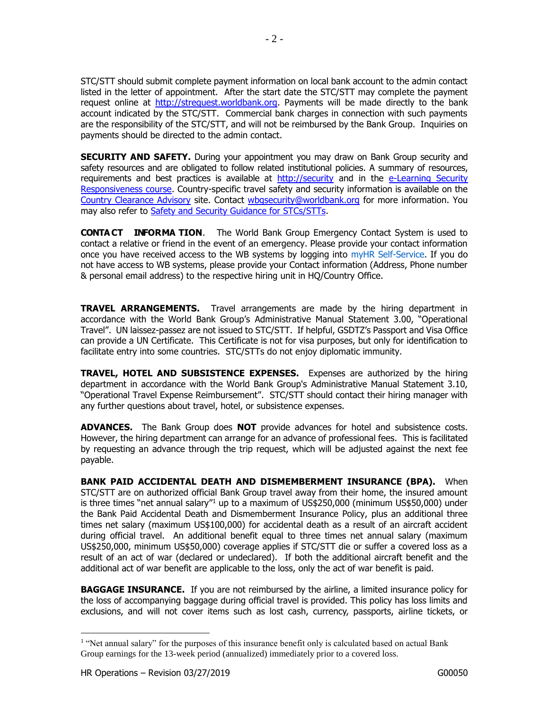STC/STT should submit complete payment information on local bank account to the admin contact listed in the letter of appointment. After the start date the STC/STT may complete the payment request online at [http://strequest.worldbank.org.](http://strequest.worldbank.org/) Payments will be made directly to the bank account indicated by the STC/STT. Commercial bank charges in connection with such payments are the responsibility of the STC/STT, and will not be reimbursed by the Bank Group. Inquiries on payments should be directed to the admin contact.

**SECURITY AND SAFETY.** During your appointment you may draw on Bank Group security and safety resources and are obligated to follow related institutional policies. A summary of resources, requirements and best practices is available at [http://security](http://security-/) and in the e-Learning Security [Responsiveness](https://olc.worldbank.org/content/security-responsiveness) course. Country-specific travel safety and security information is available on the [Country Clearance Advisory](http://traveladvisory/) site. Contact [wbgsecurity@worldbank.org](mailto:wbgsecurity@worldbank.org) for more information. You may also refer to **Safety and Security Guidance for STCs/STTs**.

**CONTACT INFORMA TION**. The World Bank Group Emergency Contact System is used to contact a relative or friend in the event of an emergency. Please provide your contact information once you have received access to the WB systems by logging into myHR Self-Service. If you do not have access to WB systems, please provide your Contact information (Address, Phone number & personal email address) to the respective hiring unit in HQ/Country Office.

**TRAVEL ARRANGEMENTS.** Travel arrangements are made by the hiring department in accordance with the World Bank Group's Administrative Manual Statement 3.00, "Operational Travel". UN laissez-passez are not issued to STC/STT. If helpful, GSDTZ's Passport and Visa Office can provide a UN Certificate. This Certificate is not for visa purposes, but only for identification to facilitate entry into some countries. STC/STTs do not enjoy diplomatic immunity.

**TRAVEL, HOTEL AND SUBSISTENCE EXPENSES.** Expenses are authorized by the hiring department in accordance with the World Bank Group's Administrative Manual Statement 3.10, "Operational Travel Expense Reimbursement". STC/STT should contact their hiring manager with any further questions about travel, hotel, or subsistence expenses.

**ADVANCES.** The Bank Group does **NOT** provide advances for hotel and subsistence costs. However, the hiring department can arrange for an advance of professional fees. This is facilitated by requesting an advance through the trip request, which will be adjusted against the next fee payable.

**BANK PAID ACCIDENTAL DEATH AND DISMEMBERMENT INSURANCE (BPA).** When STC/STT are on authorized official Bank Group travel away from their home, the insured amount is three times "net annual salary"<sup>1</sup> up to a maximum of US\$250,000 (minimum US\$50,000) under the Bank Paid Accidental Death and Dismemberment Insurance Policy, plus an additional three times net salary (maximum US\$100,000) for accidental death as a result of an aircraft accident during official travel. An additional benefit equal to three times net annual salary (maximum US\$250,000, minimum US\$50,000) coverage applies if STC/STT die or suffer a covered loss as a result of an act of war (declared or undeclared). If both the additional aircraft benefit and the additional act of war benefit are applicable to the loss, only the act of war benefit is paid.

**BAGGAGE INSURANCE.** If you are not reimbursed by the airline, a limited insurance policy for the loss of accompanying baggage during official travel is provided. This policy has loss limits and exclusions, and will not cover items such as lost cash, currency, passports, airline tickets, or

 $\overline{a}$ 

<sup>&</sup>lt;sup>1</sup> "Net annual salary" for the purposes of this insurance benefit only is calculated based on actual Bank Group earnings for the 13-week period (annualized) immediately prior to a covered loss.